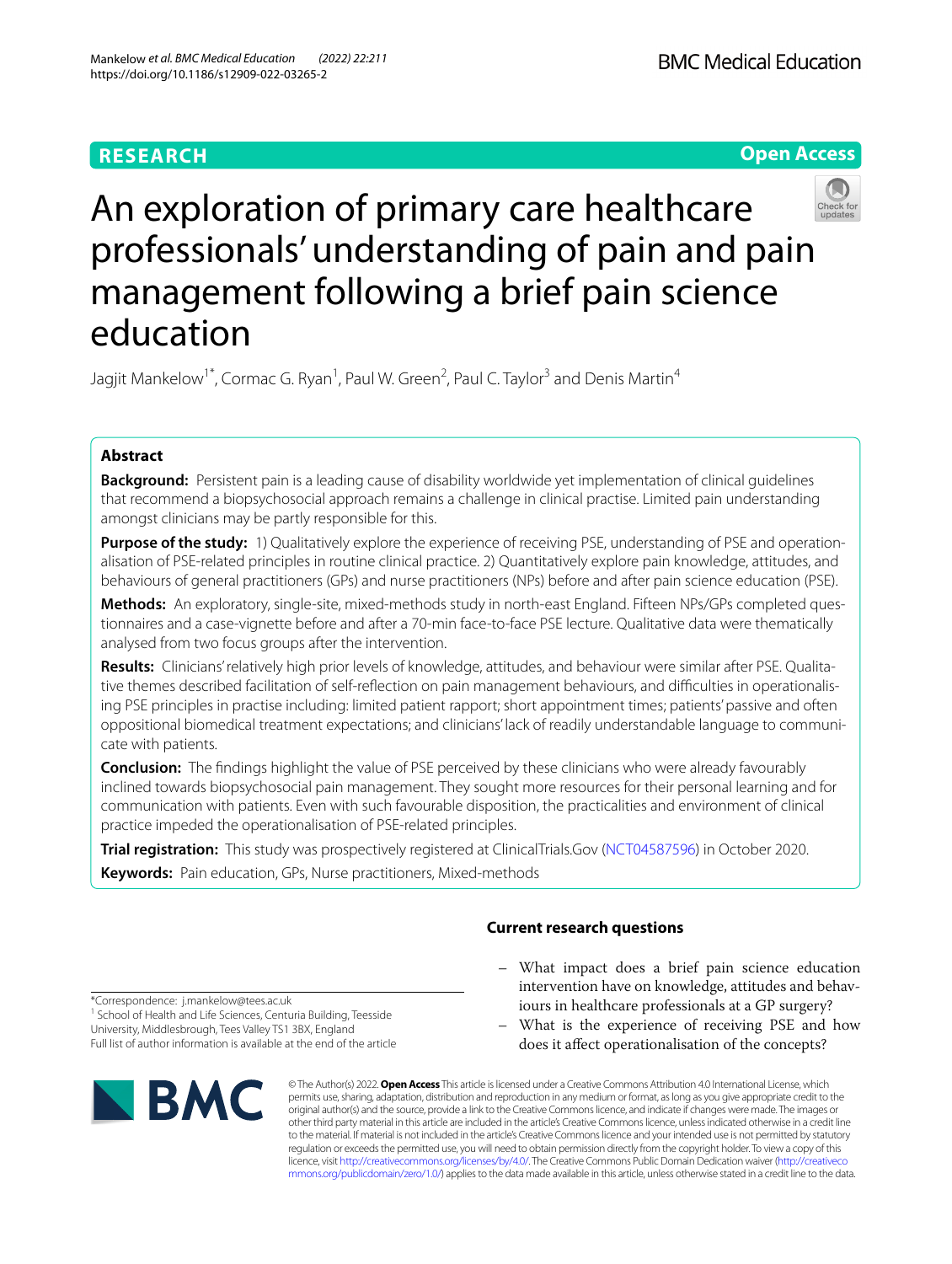# **RESEARCH**

**BMC Medical Education** 

**Open Access**

# An exploration of primary care healthcare professionals' understanding of pain and pain management following a brief pain science education

Jagjit Mankelow<sup>1\*</sup>, Cormac G. Ryan<sup>1</sup>, Paul W. Green<sup>2</sup>, Paul C. Taylor<sup>3</sup> and Denis Martin<sup>4</sup>

# **Abstract**

**Background:** Persistent pain is a leading cause of disability worldwide yet implementation of clinical guidelines that recommend a biopsychosocial approach remains a challenge in clinical practise. Limited pain understanding amongst clinicians may be partly responsible for this.

**Purpose of the study:** 1) Qualitatively explore the experience of receiving PSE, understanding of PSE and operationalisation of PSE-related principles in routine clinical practice. 2) Quantitatively explore pain knowledge, attitudes, and behaviours of general practitioners (GPs) and nurse practitioners (NPs) before and after pain science education (PSE).

**Methods:** An exploratory, single-site, mixed-methods study in north-east England. Fifteen NPs/GPs completed questionnaires and a case-vignette before and after a 70-min face-to-face PSE lecture. Qualitative data were thematically analysed from two focus groups after the intervention.

**Results:** Clinicians' relatively high prior levels of knowledge, attitudes, and behaviour were similar after PSE. Qualitative themes described facilitation of self-refection on pain management behaviours, and difculties in operationalising PSE principles in practise including: limited patient rapport; short appointment times; patients' passive and often oppositional biomedical treatment expectations; and clinicians' lack of readily understandable language to communicate with patients.

**Conclusion:** The fndings highlight the value of PSE perceived by these clinicians who were already favourably inclined towards biopsychosocial pain management. They sought more resources for their personal learning and for communication with patients. Even with such favourable disposition, the practicalities and environment of clinical practice impeded the operationalisation of PSE-related principles.

**Trial registration:** This study was prospectively registered at ClinicalTrials.Gov [\(NCT04587596](https://clinicaltrials.gov/ct2/show/NCT04587596?term=education&cond=pain&cntry=GB&draw=2&rank=1)) in October 2020.

**Keywords:** Pain education, GPs, Nurse practitioners, Mixed-methods

## **Current research questions**

- What impact does a brief pain science education intervention have on knowledge, attitudes and behaviours in healthcare professionals at a GP surgery?
- What is the experience of receiving PSE and how does it afect operationalisation of the concepts?

© The Author(s) 2022. **Open Access** This article is licensed under a Creative Commons Attribution 4.0 International License, which permits use, sharing, adaptation, distribution and reproduction in any medium or format, as long as you give appropriate credit to the original author(s) and the source, provide a link to the Creative Commons licence, and indicate if changes were made. The images or other third party material in this article are included in the article's Creative Commons licence, unless indicated otherwise in a credit line to the material. If material is not included in the article's Creative Commons licence and your intended use is not permitted by statutory regulation or exceeds the permitted use, you will need to obtain permission directly from the copyright holder. To view a copy of this licence, visit [http://creativecommons.org/licenses/by/4.0/.](http://creativecommons.org/licenses/by/4.0/) The Creative Commons Public Domain Dedication waiver ([http://creativeco](http://creativecommons.org/publicdomain/zero/1.0/) [mmons.org/publicdomain/zero/1.0/](http://creativecommons.org/publicdomain/zero/1.0/)) applies to the data made available in this article, unless otherwise stated in a credit line to the data.

\*Correspondence: j.mankelow@tees.ac.uk <sup>1</sup> School of Health and Life Sciences, Centuria Building, Teesside University, Middlesbrough, Tees Valley TS1 3BX, England Full list of author information is available at the end of the article

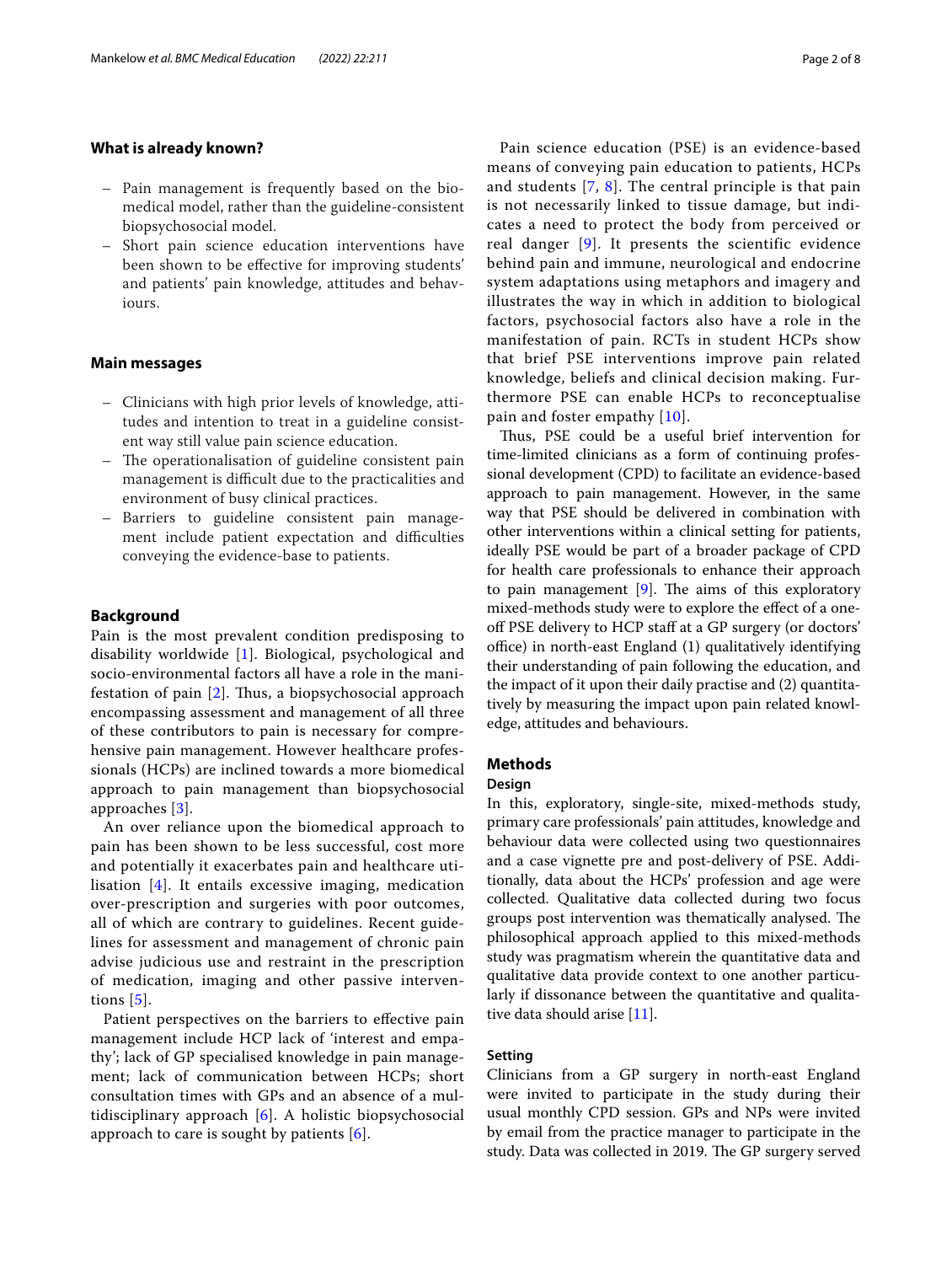## **What is already known?**

- Pain management is frequently based on the biomedical model, rather than the guideline-consistent biopsychosocial model.
- Short pain science education interventions have been shown to be efective for improving students' and patients' pain knowledge, attitudes and behaviours.

## **Main messages**

- Clinicians with high prior levels of knowledge, attitudes and intention to treat in a guideline consistent way still value pain science education.
- The operationalisation of guideline consistent pain management is difficult due to the practicalities and environment of busy clinical practices.
- Barriers to guideline consistent pain management include patient expectation and difficulties conveying the evidence-base to patients.

## **Background**

Pain is the most prevalent condition predisposing to disability worldwide [[1\]](#page-6-0). Biological, psychological and socio-environmental factors all have a role in the manifestation of pain  $[2]$  $[2]$ . Thus, a biopsychosocial approach encompassing assessment and management of all three of these contributors to pain is necessary for comprehensive pain management. However healthcare professionals (HCPs) are inclined towards a more biomedical approach to pain management than biopsychosocial approaches [\[3](#page-6-2)].

An over reliance upon the biomedical approach to pain has been shown to be less successful, cost more and potentially it exacerbates pain and healthcare utilisation [[4\]](#page-6-3). It entails excessive imaging, medication over-prescription and surgeries with poor outcomes, all of which are contrary to guidelines. Recent guidelines for assessment and management of chronic pain advise judicious use and restraint in the prescription of medication, imaging and other passive interventions [[5](#page-6-4)].

Patient perspectives on the barriers to efective pain management include HCP lack of 'interest and empathy'; lack of GP specialised knowledge in pain management; lack of communication between HCPs; short consultation times with GPs and an absence of a multidisciplinary approach [[6\]](#page-6-5). A holistic biopsychosocial approach to care is sought by patients [\[6](#page-6-5)].

Pain science education (PSE) is an evidence-based means of conveying pain education to patients, HCPs and students [[7,](#page-6-6) [8\]](#page-6-7). The central principle is that pain is not necessarily linked to tissue damage, but indicates a need to protect the body from perceived or real danger  $[9]$ . It presents the scientific evidence behind pain and immune, neurological and endocrine system adaptations using metaphors and imagery and illustrates the way in which in addition to biological factors, psychosocial factors also have a role in the manifestation of pain. RCTs in student HCPs show that brief PSE interventions improve pain related knowledge, beliefs and clinical decision making. Furthermore PSE can enable HCPs to reconceptualise pain and foster empathy [[10](#page-6-9)].

Thus, PSE could be a useful brief intervention for time-limited clinicians as a form of continuing professional development (CPD) to facilitate an evidence-based approach to pain management. However, in the same way that PSE should be delivered in combination with other interventions within a clinical setting for patients, ideally PSE would be part of a broader package of CPD for health care professionals to enhance their approach to pain management  $[9]$  $[9]$ . The aims of this exploratory mixed-methods study were to explore the efect of a oneoff PSE delivery to HCP staff at a GP surgery (or doctors'  $office)$  in north-east England  $(1)$  qualitatively identifying their understanding of pain following the education, and the impact of it upon their daily practise and (2) quantitatively by measuring the impact upon pain related knowledge, attitudes and behaviours.

## **Methods**

#### **Design**

In this, exploratory, single-site, mixed-methods study, primary care professionals' pain attitudes, knowledge and behaviour data were collected using two questionnaires and a case vignette pre and post-delivery of PSE. Additionally, data about the HCPs' profession and age were collected. Qualitative data collected during two focus groups post intervention was thematically analysed. The philosophical approach applied to this mixed-methods study was pragmatism wherein the quantitative data and qualitative data provide context to one another particularly if dissonance between the quantitative and qualitative data should arise [\[11](#page-6-10)].

## **Setting**

Clinicians from a GP surgery in north-east England were invited to participate in the study during their usual monthly CPD session. GPs and NPs were invited by email from the practice manager to participate in the study. Data was collected in 2019. The GP surgery served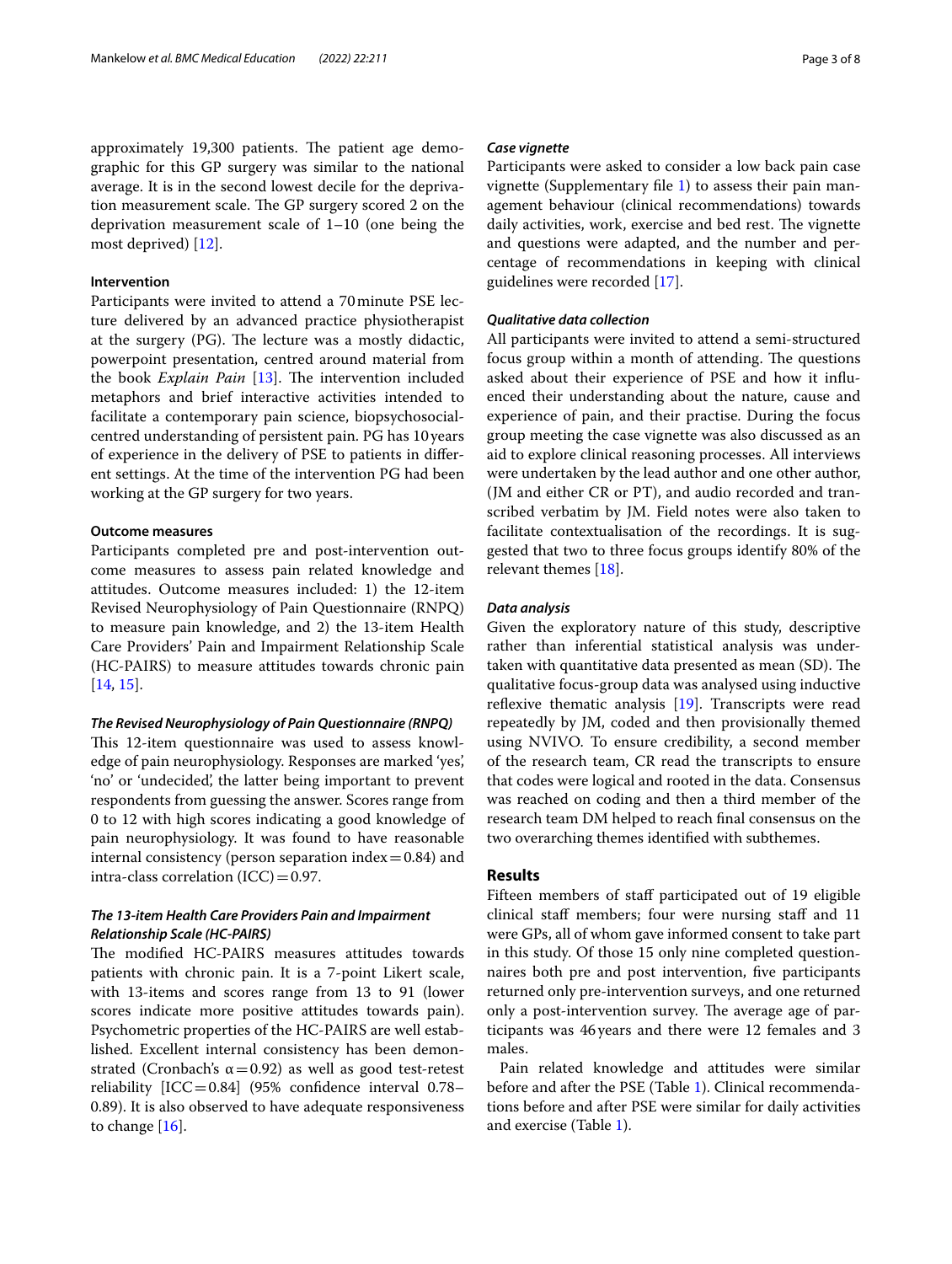approximately 19,300 patients. The patient age demographic for this GP surgery was similar to the national average. It is in the second lowest decile for the deprivation measurement scale. The GP surgery scored 2 on the deprivation measurement scale of 1–10 (one being the most deprived) [\[12\]](#page-6-11).

## **Intervention**

Participants were invited to attend a 70minute PSE lecture delivered by an advanced practice physiotherapist at the surgery  $(PG)$ . The lecture was a mostly didactic, powerpoint presentation, centred around material from the book *Explain Pain* [\[13\]](#page-6-12). The intervention included metaphors and brief interactive activities intended to facilitate a contemporary pain science, biopsychosocialcentred understanding of persistent pain. PG has 10years of experience in the delivery of PSE to patients in diferent settings. At the time of the intervention PG had been working at the GP surgery for two years.

## **Outcome measures**

Participants completed pre and post-intervention outcome measures to assess pain related knowledge and attitudes. Outcome measures included: 1) the 12-item Revised Neurophysiology of Pain Questionnaire (RNPQ) to measure pain knowledge, and 2) the 13-item Health Care Providers' Pain and Impairment Relationship Scale (HC-PAIRS) to measure attitudes towards chronic pain [[14,](#page-6-13) [15](#page-6-14)].

#### *The Revised Neurophysiology of Pain Questionnaire (RNPQ)*

This 12-item questionnaire was used to assess knowledge of pain neurophysiology. Responses are marked 'yes', 'no' or 'undecided', the latter being important to prevent respondents from guessing the answer. Scores range from 0 to 12 with high scores indicating a good knowledge of pain neurophysiology. It was found to have reasonable internal consistency (person separation index $=0.84$ ) and intra-class correlation  $(ICC)=0.97$ .

## *The 13‑item Health Care Providers Pain and Impairment Relationship Scale (HC‑PAIRS)*

The modified HC-PAIRS measures attitudes towards patients with chronic pain. It is a 7-point Likert scale, with 13-items and scores range from 13 to 91 (lower scores indicate more positive attitudes towards pain). Psychometric properties of the HC-PAIRS are well established. Excellent internal consistency has been demonstrated (Cronbach's  $\alpha$  = 0.92) as well as good test-retest reliability [ICC=0.84] (95% confdence interval 0.78– 0.89). It is also observed to have adequate responsiveness to change [[16\]](#page-6-15).

#### *Case vignette*

Participants were asked to consider a low back pain case vignette (Supplementary fle [1](#page-6-16)) to assess their pain management behaviour (clinical recommendations) towards daily activities, work, exercise and bed rest. The vignette and questions were adapted, and the number and percentage of recommendations in keeping with clinical guidelines were recorded [\[17](#page-6-17)].

## *Qualitative data collection*

All participants were invited to attend a semi-structured focus group within a month of attending. The questions asked about their experience of PSE and how it infuenced their understanding about the nature, cause and experience of pain, and their practise. During the focus group meeting the case vignette was also discussed as an aid to explore clinical reasoning processes. All interviews were undertaken by the lead author and one other author, (JM and either CR or PT), and audio recorded and transcribed verbatim by JM. Field notes were also taken to facilitate contextualisation of the recordings. It is suggested that two to three focus groups identify 80% of the relevant themes [\[18\]](#page-7-0).

## *Data analysis*

Given the exploratory nature of this study, descriptive rather than inferential statistical analysis was undertaken with quantitative data presented as mean (SD). The qualitative focus-group data was analysed using inductive reflexive thematic analysis  $[19]$  $[19]$ . Transcripts were read repeatedly by JM, coded and then provisionally themed using NVIVO. To ensure credibility, a second member of the research team, CR read the transcripts to ensure that codes were logical and rooted in the data. Consensus was reached on coding and then a third member of the research team DM helped to reach fnal consensus on the two overarching themes identifed with subthemes.

## **Results**

Fifteen members of staff participated out of 19 eligible clinical staff members; four were nursing staff and 11 were GPs, all of whom gave informed consent to take part in this study. Of those 15 only nine completed questionnaires both pre and post intervention, fve participants returned only pre-intervention surveys, and one returned only a post-intervention survey. The average age of participants was 46years and there were 12 females and 3 males.

Pain related knowledge and attitudes were similar before and after the PSE (Table [1](#page-3-0)). Clinical recommendations before and after PSE were similar for daily activities and exercise (Table [1\)](#page-3-0).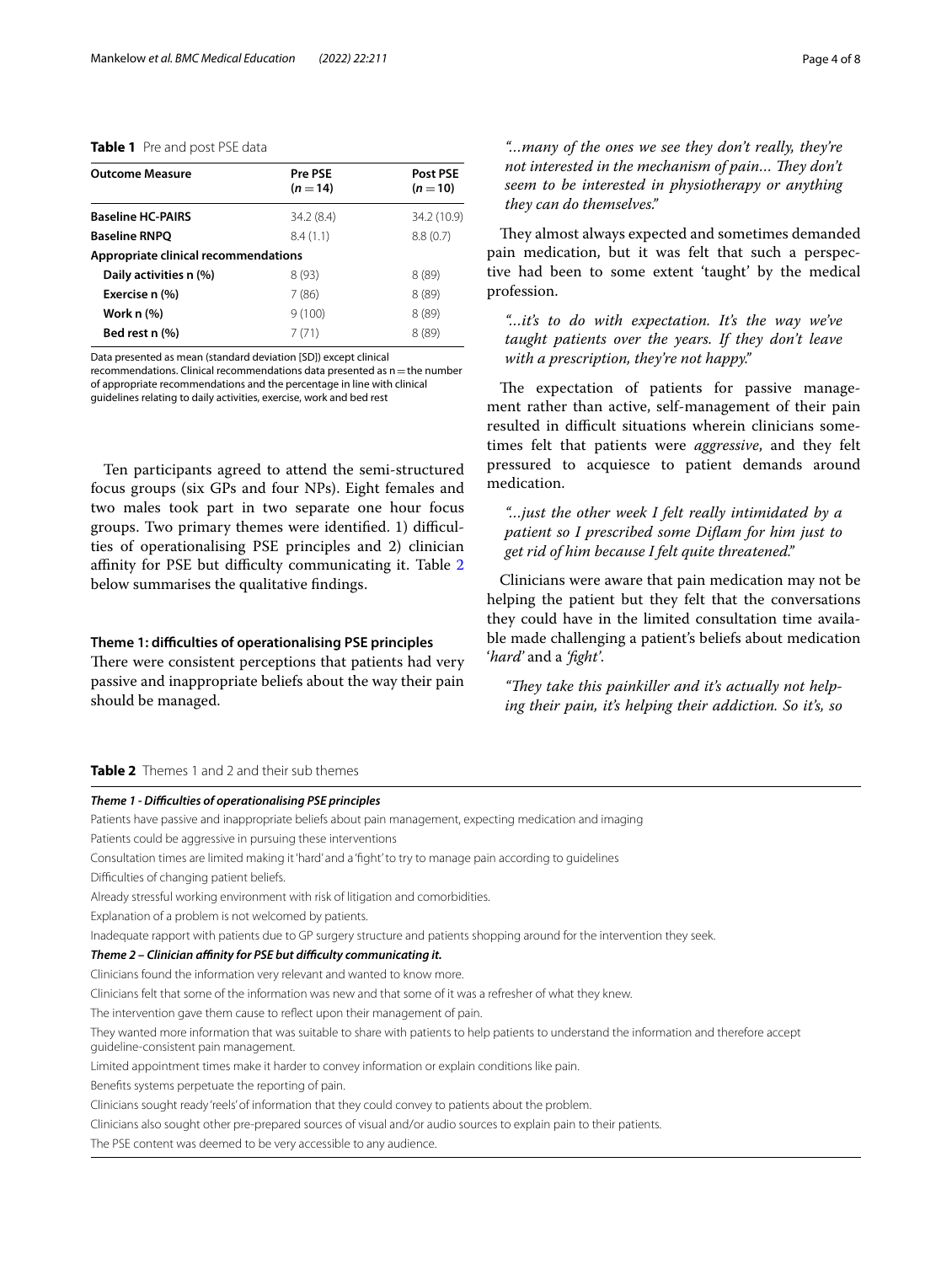## <span id="page-3-0"></span>**Table 1** Pre and post PSE data

| <b>Outcome Measure</b>               | Pre PSE<br>$(n=14)$ | Post PSE<br>$(n=10)$ |
|--------------------------------------|---------------------|----------------------|
| <b>Baseline HC-PAIRS</b>             | 34.2 (8.4)          | 34.2 (10.9)          |
| <b>Baseline RNPQ</b>                 | 8.4(1.1)            | 8.8(0.7)             |
| Appropriate clinical recommendations |                     |                      |
| Daily activities n (%)               | 8(93)               | 8(89)                |
| Exercise n (%)                       | 7 (86)              | 8(89)                |
| <b>Work n (%)</b>                    | 9(100)              | 8(89)                |
| Bed rest n (%)                       | 7 (71)              | 8(89)                |

Data presented as mean (standard deviation [SD]) except clinical

recommendations. Clinical recommendations data presented as  $n$  = the number of appropriate recommendations and the percentage in line with clinical guidelines relating to daily activities, exercise, work and bed rest

Ten participants agreed to attend the semi-structured focus groups (six GPs and four NPs). Eight females and two males took part in two separate one hour focus groups. Two primary themes were identified. 1) difficulties of operationalising PSE principles and 2) clinician affinity for PSE but difficulty communicating it. Table [2](#page-3-1) below summarises the qualitative fndings.

## **Theme 1: difculties of operationalising PSE principles**

There were consistent perceptions that patients had very passive and inappropriate beliefs about the way their pain should be managed.

They almost always expected and sometimes demanded pain medication, but it was felt that such a perspective had been to some extent 'taught' by the medical profession.

*"…it's to do with expectation. It's the way we've taught patients over the years. If they don't leave with a prescription, they're not happy."*

The expectation of patients for passive management rather than active, self-management of their pain resulted in difficult situations wherein clinicians sometimes felt that patients were *aggressive*, and they felt pressured to acquiesce to patient demands around medication.

*"…just the other week I felt really intimidated by a patient so I prescribed some Difam for him just to get rid of him because I felt quite threatened."*

Clinicians were aware that pain medication may not be helping the patient but they felt that the conversations they could have in the limited consultation time available made challenging a patient's beliefs about medication '*hard'* and a *'fght'*.

"They take this painkiller and it's actually not help*ing their pain, it's helping their addiction. So it's, so* 

## <span id="page-3-1"></span>**Table 2** Themes 1 and 2 and their sub themes

## *Theme 1 - Difculties of operationalising PSE principles*

Patients have passive and inappropriate beliefs about pain management, expecting medication and imaging

Patients could be aggressive in pursuing these interventions

- Consultation times are limited making it 'hard' and a 'fght' to try to manage pain according to guidelines
- Difficulties of changing patient beliefs.
- Already stressful working environment with risk of litigation and comorbidities.

Explanation of a problem is not welcomed by patients.

Inadequate rapport with patients due to GP surgery structure and patients shopping around for the intervention they seek.

#### *Theme 2 – Clinician afnity for PSE but difculty communicating it.*

Clinicians found the information very relevant and wanted to know more.

Clinicians felt that some of the information was new and that some of it was a refresher of what they knew.

The intervention gave them cause to refect upon their management of pain.

They wanted more information that was suitable to share with patients to help patients to understand the information and therefore accept guideline-consistent pain management.

Limited appointment times make it harder to convey information or explain conditions like pain.

Benefts systems perpetuate the reporting of pain.

Clinicians sought ready 'reels' of information that they could convey to patients about the problem.

Clinicians also sought other pre-prepared sources of visual and/or audio sources to explain pain to their patients.

The PSE content was deemed to be very accessible to any audience.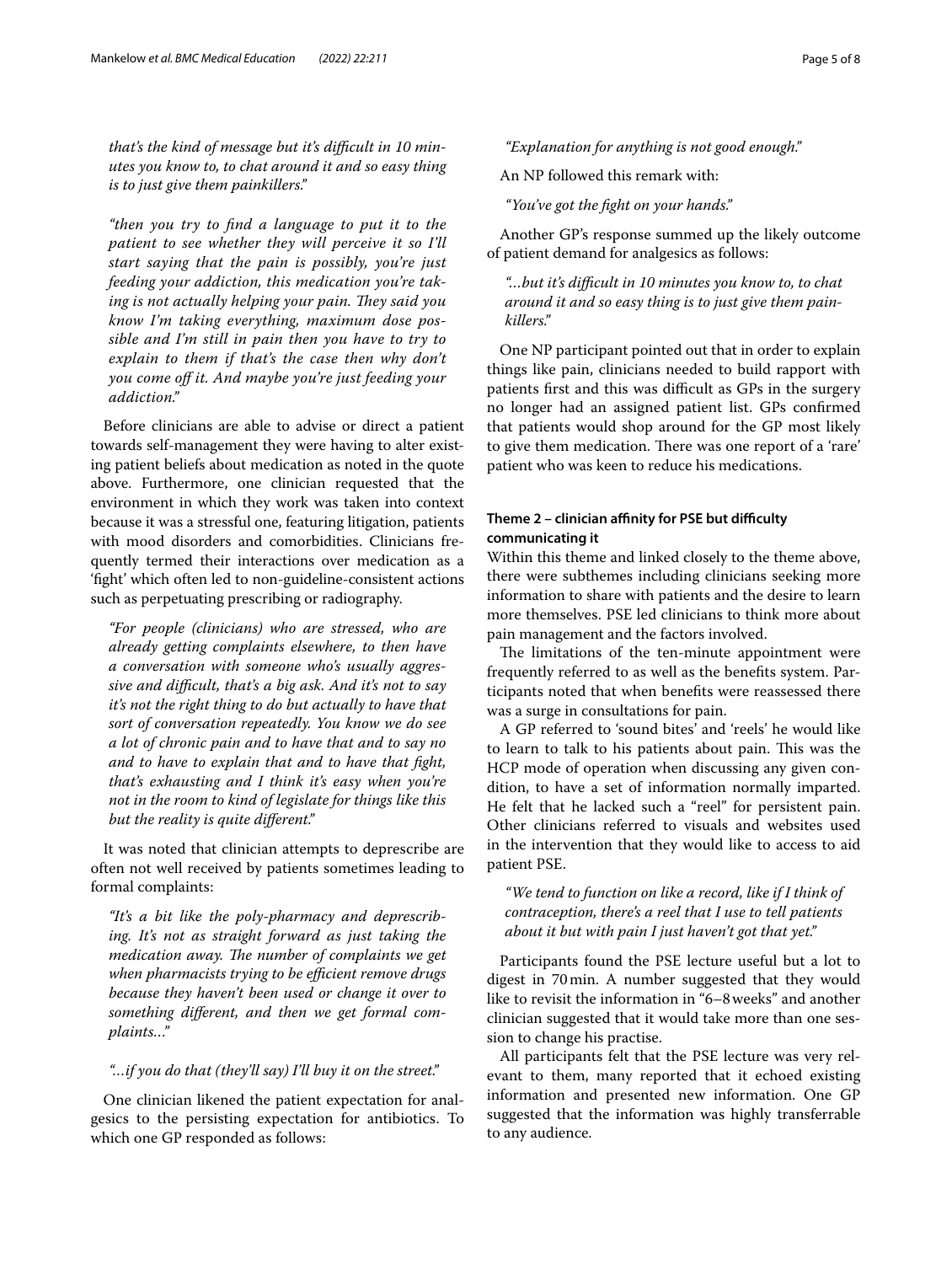that's the kind of message but it's difficult in 10 min*utes you know to, to chat around it and so easy thing is to just give them painkillers."*

*"then you try to fnd a language to put it to the patient to see whether they will perceive it so I'll start saying that the pain is possibly, you're just feeding your addiction, this medication you're tak*ing is not actually helping your pain. They said you *know I'm taking everything, maximum dose possible and I'm still in pain then you have to try to explain to them if that's the case then why don't you come of it. And maybe you're just feeding your addiction."*

Before clinicians are able to advise or direct a patient towards self-management they were having to alter existing patient beliefs about medication as noted in the quote above. Furthermore, one clinician requested that the environment in which they work was taken into context because it was a stressful one, featuring litigation, patients with mood disorders and comorbidities. Clinicians frequently termed their interactions over medication as a 'fght' which often led to non-guideline-consistent actions such as perpetuating prescribing or radiography.

*"For people (clinicians) who are stressed, who are already getting complaints elsewhere, to then have a conversation with someone who's usually aggressive and difcult, that's a big ask. And it's not to say it's not the right thing to do but actually to have that sort of conversation repeatedly. You know we do see a lot of chronic pain and to have that and to say no and to have to explain that and to have that fght, that's exhausting and I think it's easy when you're not in the room to kind of legislate for things like this but the reality is quite diferent."*

It was noted that clinician attempts to deprescribe are often not well received by patients sometimes leading to formal complaints:

*"It's a bit like the poly-pharmacy and deprescribing. It's not as straight forward as just taking the medication away. The number of complaints we get* when pharmacists trying to be efficient remove drugs *because they haven't been used or change it over to something diferent, and then we get formal complaints…"*

## *"…if you do that (they'll say) I'll buy it on the street."*

One clinician likened the patient expectation for analgesics to the persisting expectation for antibiotics. To which one GP responded as follows:

## *"Explanation for anything is not good enough."*

An NP followed this remark with:

*"You've got the fght on your hands."*

Another GP's response summed up the likely outcome of patient demand for analgesics as follows:

*"…but it's difcult in 10 minutes you know to, to chat around it and so easy thing is to just give them painkillers."*

One NP participant pointed out that in order to explain things like pain, clinicians needed to build rapport with patients first and this was difficult as GPs in the surgery no longer had an assigned patient list. GPs confrmed that patients would shop around for the GP most likely to give them medication. There was one report of a 'rare' patient who was keen to reduce his medications.

## Theme 2 - clinician affinity for PSE but difficulty **communicating it**

Within this theme and linked closely to the theme above, there were subthemes including clinicians seeking more information to share with patients and the desire to learn more themselves. PSE led clinicians to think more about pain management and the factors involved.

The limitations of the ten-minute appointment were frequently referred to as well as the benefts system. Participants noted that when benefts were reassessed there was a surge in consultations for pain.

A GP referred to 'sound bites' and 'reels' he would like to learn to talk to his patients about pain. This was the HCP mode of operation when discussing any given condition, to have a set of information normally imparted. He felt that he lacked such a "reel" for persistent pain. Other clinicians referred to visuals and websites used in the intervention that they would like to access to aid patient PSE.

*"We tend to function on like a record, like if I think of contraception, there's a reel that I use to tell patients about it but with pain I just haven't got that yet."*

Participants found the PSE lecture useful but a lot to digest in 70min. A number suggested that they would like to revisit the information in "6–8weeks" and another clinician suggested that it would take more than one session to change his practise.

All participants felt that the PSE lecture was very relevant to them, many reported that it echoed existing information and presented new information. One GP suggested that the information was highly transferrable to any audience.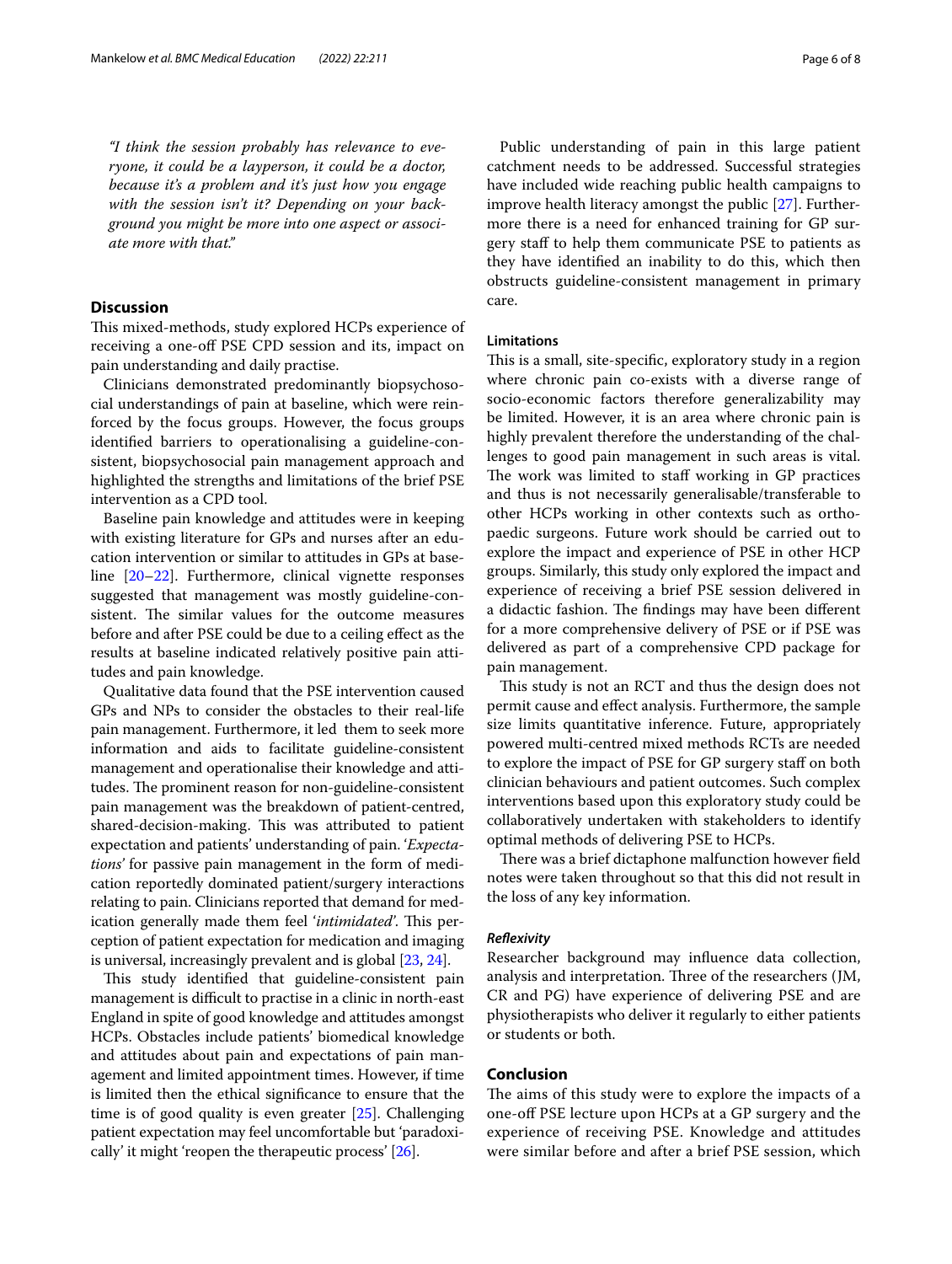*"I think the session probably has relevance to everyone, it could be a layperson, it could be a doctor, because it's a problem and it's just how you engage with the session isn't it? Depending on your background you might be more into one aspect or associate more with that."*

## **Discussion**

This mixed-methods, study explored HCPs experience of receiving a one-of PSE CPD session and its, impact on pain understanding and daily practise.

Clinicians demonstrated predominantly biopsychosocial understandings of pain at baseline, which were reinforced by the focus groups. However, the focus groups identifed barriers to operationalising a guideline-consistent, biopsychosocial pain management approach and highlighted the strengths and limitations of the brief PSE intervention as a CPD tool.

Baseline pain knowledge and attitudes were in keeping with existing literature for GPs and nurses after an education intervention or similar to attitudes in GPs at baseline [\[20](#page-7-2)[–22](#page-7-3)]. Furthermore, clinical vignette responses suggested that management was mostly guideline-consistent. The similar values for the outcome measures before and after PSE could be due to a ceiling efect as the results at baseline indicated relatively positive pain attitudes and pain knowledge.

Qualitative data found that the PSE intervention caused GPs and NPs to consider the obstacles to their real-life pain management. Furthermore, it led them to seek more information and aids to facilitate guideline-consistent management and operationalise their knowledge and attitudes. The prominent reason for non-guideline-consistent pain management was the breakdown of patient-centred, shared-decision-making. This was attributed to patient expectation and patients' understanding of pain. '*Expectations'* for passive pain management in the form of medication reportedly dominated patient/surgery interactions relating to pain. Clinicians reported that demand for medication generally made them feel '*intimidated*'. This perception of patient expectation for medication and imaging is universal, increasingly prevalent and is global [[23,](#page-7-4) [24\]](#page-7-5).

This study identified that guideline-consistent pain management is difficult to practise in a clinic in north-east England in spite of good knowledge and attitudes amongst HCPs. Obstacles include patients' biomedical knowledge and attitudes about pain and expectations of pain management and limited appointment times. However, if time is limited then the ethical signifcance to ensure that the time is of good quality is even greater [\[25\]](#page-7-6). Challenging patient expectation may feel uncomfortable but 'paradoxically' it might 'reopen the therapeutic process' [[26](#page-7-7)].

Public understanding of pain in this large patient catchment needs to be addressed. Successful strategies have included wide reaching public health campaigns to improve health literacy amongst the public [[27](#page-7-8)]. Furthermore there is a need for enhanced training for GP surgery staf to help them communicate PSE to patients as they have identifed an inability to do this, which then obstructs guideline-consistent management in primary care.

## **Limitations**

This is a small, site-specific, exploratory study in a region where chronic pain co-exists with a diverse range of socio-economic factors therefore generalizability may be limited. However, it is an area where chronic pain is highly prevalent therefore the understanding of the challenges to good pain management in such areas is vital. The work was limited to staff working in GP practices and thus is not necessarily generalisable/transferable to other HCPs working in other contexts such as orthopaedic surgeons. Future work should be carried out to explore the impact and experience of PSE in other HCP groups. Similarly, this study only explored the impact and experience of receiving a brief PSE session delivered in a didactic fashion. The findings may have been different for a more comprehensive delivery of PSE or if PSE was delivered as part of a comprehensive CPD package for pain management.

This study is not an RCT and thus the design does not permit cause and efect analysis. Furthermore, the sample size limits quantitative inference. Future, appropriately powered multi-centred mixed methods RCTs are needed to explore the impact of PSE for GP surgery staf on both clinician behaviours and patient outcomes. Such complex interventions based upon this exploratory study could be collaboratively undertaken with stakeholders to identify optimal methods of delivering PSE to HCPs.

There was a brief dictaphone malfunction however field notes were taken throughout so that this did not result in the loss of any key information.

#### *Refexivity*

Researcher background may infuence data collection, analysis and interpretation. Three of the researchers (JM, CR and PG) have experience of delivering PSE and are physiotherapists who deliver it regularly to either patients or students or both.

## **Conclusion**

The aims of this study were to explore the impacts of a one-of PSE lecture upon HCPs at a GP surgery and the experience of receiving PSE. Knowledge and attitudes were similar before and after a brief PSE session, which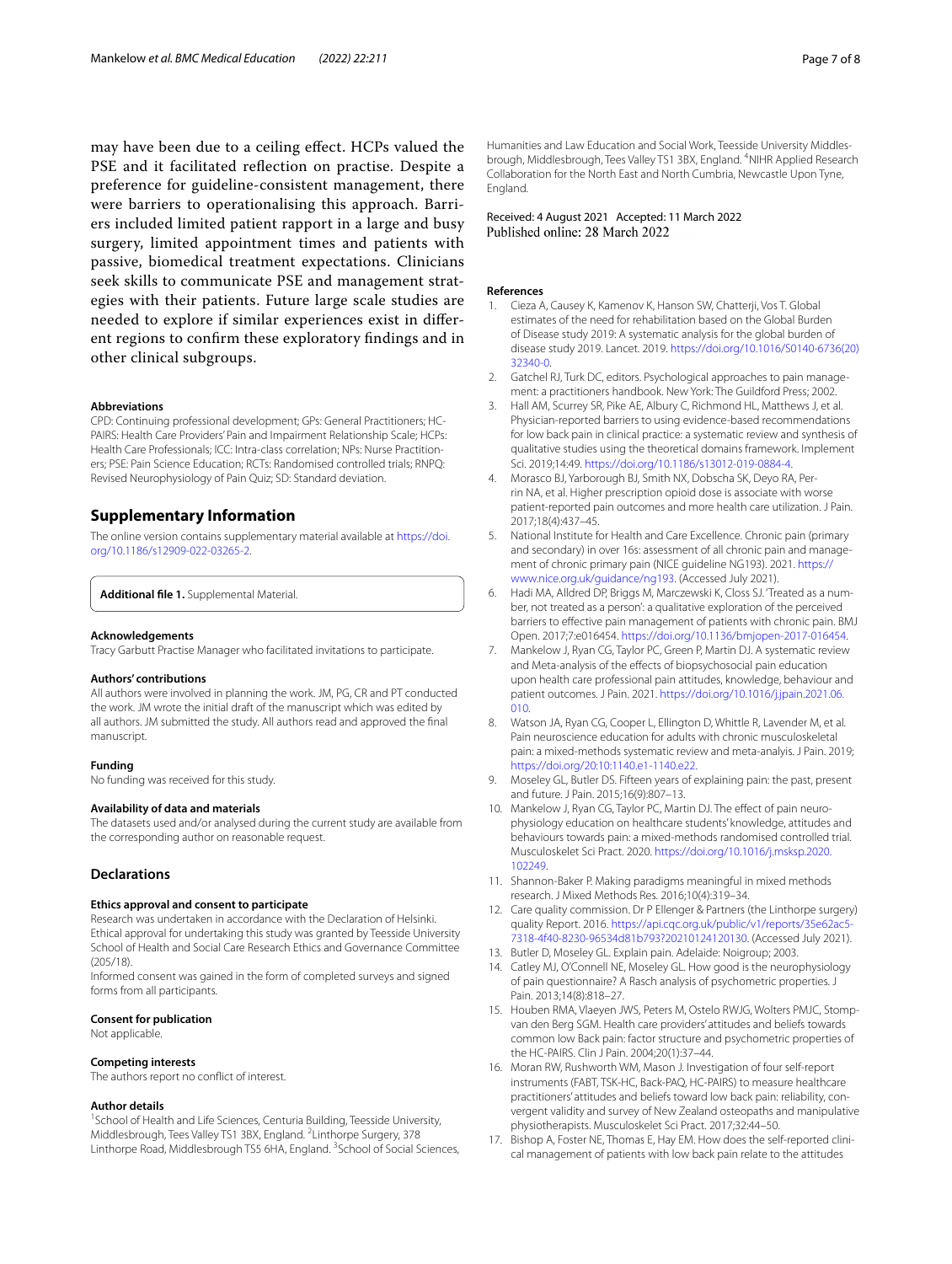may have been due to a ceiling efect. HCPs valued the PSE and it facilitated refection on practise. Despite a preference for guideline-consistent management, there were barriers to operationalising this approach. Barriers included limited patient rapport in a large and busy surgery, limited appointment times and patients with passive, biomedical treatment expectations. Clinicians seek skills to communicate PSE and management strategies with their patients. Future large scale studies are needed to explore if similar experiences exist in diferent regions to confrm these exploratory fndings and in other clinical subgroups.

#### **Abbreviations**

CPD: Continuing professional development; GPs: General Practitioners; HC-PAIRS: Health Care Providers' Pain and Impairment Relationship Scale; HCPs: Health Care Professionals; ICC: Intra-class correlation; NPs: Nurse Practitioners; PSE: Pain Science Education; RCTs: Randomised controlled trials; RNPQ: Revised Neurophysiology of Pain Quiz; SD: Standard deviation.

## **Supplementary Information**

The online version contains supplementary material available at [https://doi.](https://doi.org/10.1186/s12909-022-03265-2) [org/10.1186/s12909-022-03265-2](https://doi.org/10.1186/s12909-022-03265-2).

<span id="page-6-16"></span>**Additional fle 1.** Supplemental Material.

#### **Acknowledgements**

Tracy Garbutt Practise Manager who facilitated invitations to participate.

#### **Authors' contributions**

All authors were involved in planning the work. JM, PG, CR and PT conducted the work. JM wrote the initial draft of the manuscript which was edited by all authors. JM submitted the study. All authors read and approved the fnal manuscript.

#### **Funding**

No funding was received for this study.

## **Availability of data and materials**

The datasets used and/or analysed during the current study are available from the corresponding author on reasonable request.

#### **Declarations**

#### **Ethics approval and consent to participate**

Research was undertaken in accordance with the Declaration of Helsinki. Ethical approval for undertaking this study was granted by Teesside University School of Health and Social Care Research Ethics and Governance Committee (205/18).

Informed consent was gained in the form of completed surveys and signed forms from all participants.

#### **Consent for publication**

Not applicable.

#### **Competing interests**

The authors report no confict of interest.

#### **Author details**

<sup>1</sup> School of Health and Life Sciences, Centuria Building, Teesside University, Middlesbrough, Tees Valley TS1 3BX, England. <sup>2</sup> Linthorpe Surgery, 378 Linthorpe Road, Middlesbrough TS5 6HA, England. <sup>3</sup> School of Social Sciences, Humanities and Law Education and Social Work, Teesside University Middlesbrough, Middlesbrough, Tees Valley TS1 3BX, England. <sup>4</sup>NIHR Applied Research Collaboration for the North East and North Cumbria, Newcastle Upon Tyne, England.

#### Received: 4 August 2021 Accepted: 11 March 2022 Published online: 28 March 2022

#### **References**

- <span id="page-6-0"></span>1. Cieza A, Causey K, Kamenov K, Hanson SW, Chatterji, Vos T. Global estimates of the need for rehabilitation based on the Global Burden of Disease study 2019: A systematic analysis for the global burden of disease study 2019. Lancet. 2019. [https://doi.org/10.1016/S0140-6736\(20\)](https://doi.org/10.1016/S0140-6736(20)32340-0) [32340-0.](https://doi.org/10.1016/S0140-6736(20)32340-0)
- <span id="page-6-1"></span>2. Gatchel RJ, Turk DC, editors. Psychological approaches to pain management: a practitioners handbook. New York: The Guildford Press; 2002.
- <span id="page-6-2"></span>3. Hall AM, Scurrey SR, Pike AE, Albury C, Richmond HL, Matthews J, et al. Physician-reported barriers to using evidence-based recommendations for low back pain in clinical practice: a systematic review and synthesis of qualitative studies using the theoretical domains framework. Implement Sci. 2019;14:49. [https://doi.org/10.1186/s13012-019-0884-4.](https://doi.org/10.1186/s13012-019-0884-4)
- <span id="page-6-3"></span>4. Morasco BJ, Yarborough BJ, Smith NX, Dobscha SK, Deyo RA, Perrin NA, et al. Higher prescription opioid dose is associate with worse patient-reported pain outcomes and more health care utilization. J Pain. 2017;18(4):437–45.
- <span id="page-6-4"></span>5. National Institute for Health and Care Excellence. Chronic pain (primary and secondary) in over 16s: assessment of all chronic pain and management of chronic primary pain (NICE guideline NG193). 2021. [https://](https://www.nice.org.uk/guidance/ng193) [www.nice.org.uk/guidance/ng193.](https://www.nice.org.uk/guidance/ng193) (Accessed July 2021).
- <span id="page-6-5"></span>6. Hadi MA, Alldred DP, Briggs M, Marczewski K, Closs SJ. 'Treated as a number, not treated as a person': a qualitative exploration of the perceived barriers to efective pain management of patients with chronic pain. BMJ Open. 2017;7:e016454. [https://doi.org/10.1136/bmjopen-2017-016454.](https://doi.org/10.1136/bmjopen-2017-016454)
- <span id="page-6-6"></span>7. Mankelow J, Ryan CG, Taylor PC, Green P, Martin DJ. A systematic review and Meta-analysis of the effects of biopsychosocial pain education upon health care professional pain attitudes, knowledge, behaviour and patient outcomes. J Pain. 2021. [https://doi.org/10.1016/j.jpain.2021.06.](https://doi.org/10.1016/j.jpain.2021.06.010) [010.](https://doi.org/10.1016/j.jpain.2021.06.010)
- <span id="page-6-7"></span>8. Watson JA, Ryan CG, Cooper L, Ellington D, Whittle R, Lavender M, et al. Pain neuroscience education for adults with chronic musculoskeletal pain: a mixed-methods systematic review and meta-analyis. J Pain. 2019; <https://doi.org/20:10:1140.e1-1140.e22>.
- <span id="page-6-8"></span>9. Moseley GL, Butler DS. Fifteen years of explaining pain: the past, present and future. J Pain. 2015;16(9):807–13.
- <span id="page-6-9"></span>10. Mankelow J, Ryan CG, Taylor PC, Martin DJ. The effect of pain neurophysiology education on healthcare students' knowledge, attitudes and behaviours towards pain: a mixed-methods randomised controlled trial. Musculoskelet Sci Pract. 2020. [https://doi.org/10.1016/j.msksp.2020.](https://doi.org/10.1016/j.msksp.2020.102249) [102249.](https://doi.org/10.1016/j.msksp.2020.102249)
- <span id="page-6-10"></span>11. Shannon-Baker P. Making paradigms meaningful in mixed methods research. J Mixed Methods Res. 2016;10(4):319–34.
- <span id="page-6-11"></span>12. Care quality commission. Dr P Ellenger & Partners (the Linthorpe surgery) quality Report. 2016. https://api.cqc.org.uk/public/v1/reports/35e62ac! [7318-4f40-8230-96534d81b793?20210124120130.](https://api.cqc.org.uk/public/v1/reports/35e62ac5-7318-4f40-8230-96534d81b793?20210124120130) (Accessed July 2021).
- <span id="page-6-12"></span>13. Butler D, Moseley GL. Explain pain. Adelaide: Noigroup; 2003.
- <span id="page-6-13"></span>14. Catley MJ, O'Connell NE, Moseley GL. How good is the neurophysiology of pain questionnaire? A Rasch analysis of psychometric properties. J Pain. 2013;14(8):818–27.
- <span id="page-6-14"></span>15. Houben RMA, Vlaeyen JWS, Peters M, Ostelo RWJG, Wolters PMJC, Stompvan den Berg SGM. Health care providers' attitudes and beliefs towards common low Back pain: factor structure and psychometric properties of the HC-PAIRS. Clin J Pain. 2004;20(1):37–44.
- <span id="page-6-15"></span>16. Moran RW, Rushworth WM, Mason J. Investigation of four self-report instruments (FABT, TSK-HC, Back-PAQ, HC-PAIRS) to measure healthcare practitioners' attitudes and beliefs toward low back pain: reliability, convergent validity and survey of New Zealand osteopaths and manipulative physiotherapists. Musculoskelet Sci Pract. 2017;32:44–50.
- <span id="page-6-17"></span>17. Bishop A, Foster NE, Thomas E, Hay EM. How does the self-reported clinical management of patients with low back pain relate to the attitudes